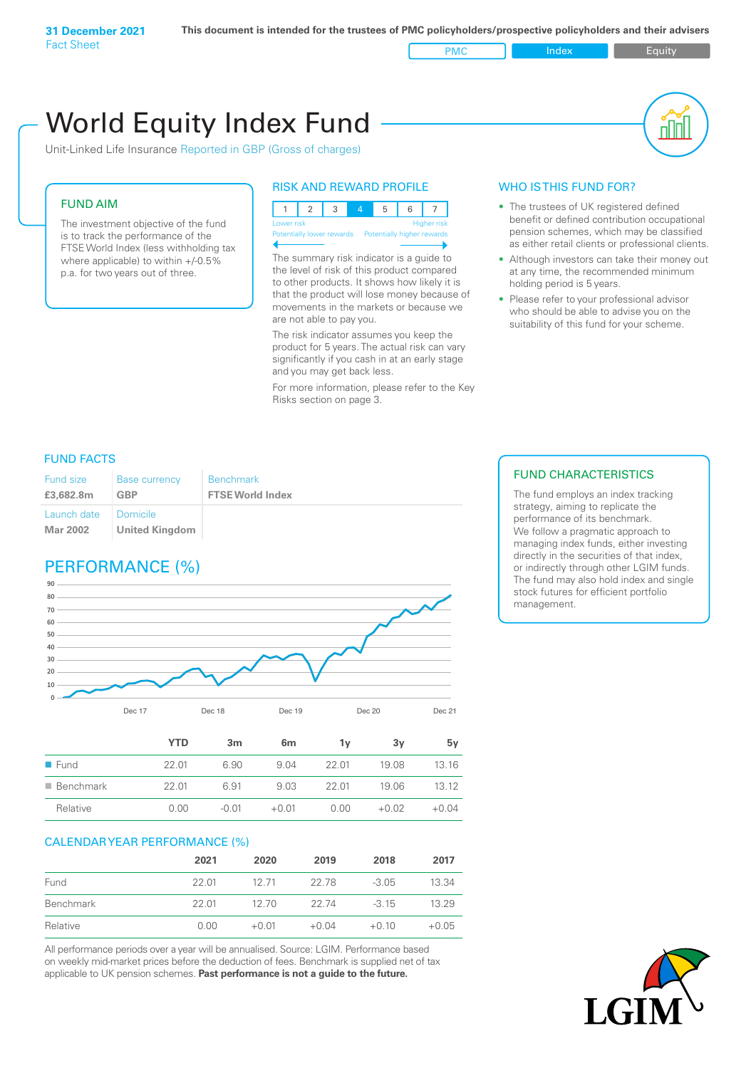PMC Index PMC Equity

# World Equity Index Fund

Unit-Linked Life Insurance Reported in GBP (Gross of charges)

# FUND AIM

The investment objective of the fund is to track the performance of the FTSE World Index (less withholding tax where applicable) to within +/-0.5% p.a. for two years out of three.

# RISK AND REWARD PROFILE



Potentially lower rewards Potentially higher rewards

The summary risk indicator is a guide to the level of risk of this product compared to other products. It shows how likely it is that the product will lose money because of movements in the markets or because we are not able to pay you.

The risk indicator assumes you keep the product for 5 years. The actual risk can vary significantly if you cash in at an early stage and you may get back less.

For more information, please refer to the Key Risks section on page 3.

#### WHO IS THIS FUND FOR?

- The trustees of UK registered defined benefit or defined contribution occupational pension schemes, which may be classified as either retail clients or professional clients.
- Although investors can take their money out at any time, the recommended minimum holding period is 5 years.
- Please refer to your professional advisor who should be able to advise you on the suitability of this fund for your scheme.

# FUND FACTS

| <b>Fund size</b>        | <b>Base currency</b>                     | <b>Benchmark</b>        |
|-------------------------|------------------------------------------|-------------------------|
| £3,682.8m               | <b>GBP</b>                               | <b>FTSE World Index</b> |
| Launch date<br>Mar 2002 | <b>Domicile</b><br><b>United Kingdom</b> |                         |

# PERFORMANCE (%)



|                          | YTD   | 3m      | 6m      | ٦v    | З٧      | 5v      |
|--------------------------|-------|---------|---------|-------|---------|---------|
| $\blacksquare$ Fund      | 22.01 | 6.90    | 9.04    | 22 Q1 | 19.08   | 13.16   |
| $\blacksquare$ Benchmark | 22.01 | 6.91    | 9.03    | 22 Q1 | 19.06   | 13.12   |
| Relative                 | 0.00  | $-0.01$ | $+0.01$ | 0.00  | $+0.02$ | $+0.04$ |

#### CALENDAR YEAR PERFORMANCE (%)

|           | 2021  | 2020    | 2019    | 2018    | 2017    |
|-----------|-------|---------|---------|---------|---------|
| Fund      | 22.01 | 12.71   | 22.78   | $-3.05$ | 13.34   |
| Benchmark | 22 01 | 12.70   | 22.74   | $-315$  | 13.29   |
| Relative  | 0.00  | $+0.01$ | $+0.04$ | $+0.10$ | $+0.05$ |

All performance periods over a year will be annualised. Source: LGIM. Performance based on weekly mid-market prices before the deduction of fees. Benchmark is supplied net of tax applicable to UK pension schemes. **Past performance is not a guide to the future.**

# FUND CHARACTERISTICS

The fund employs an index tracking strategy, aiming to replicate the performance of its benchmark. We follow a pragmatic approach to managing index funds, either investing directly in the securities of that index, or indirectly through other LGIM funds. The fund may also hold index and single stock futures for efficient portfolio management.

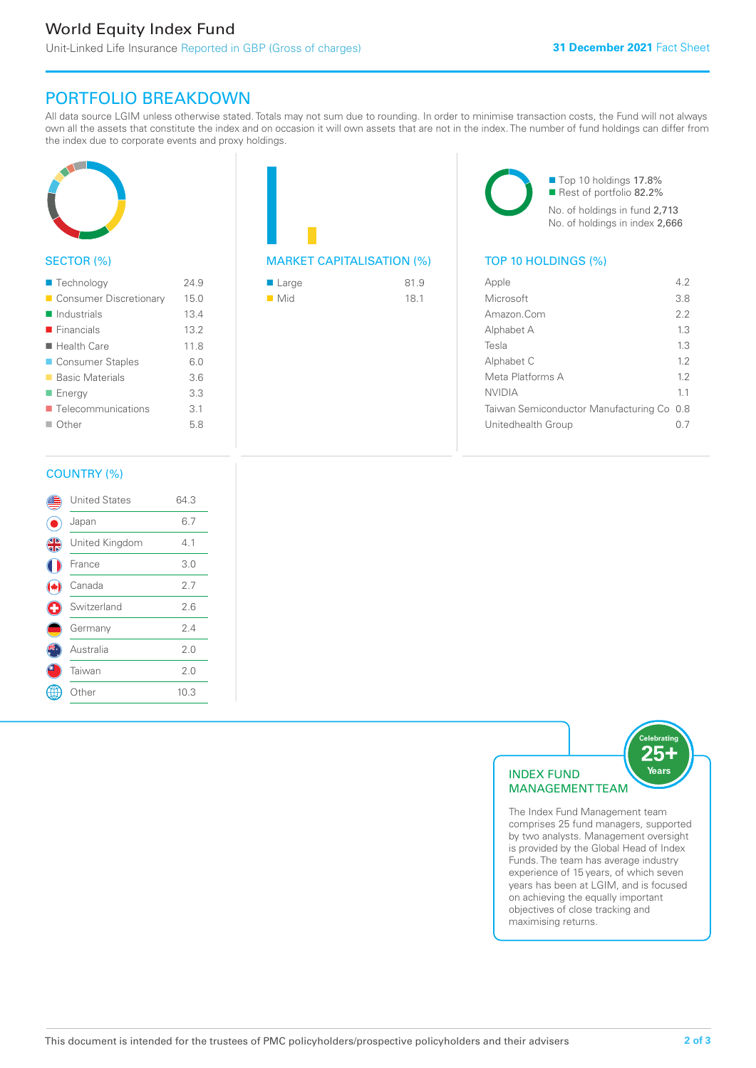# PORTFOLIO BREAKDOWN

All data source LGIM unless otherwise stated. Totals may not sum due to rounding. In order to minimise transaction costs, the Fund will not always own all the assets that constitute the index and on occasion it will own assets that are not in the index. The number of fund holdings can differ from the index due to corporate events and proxy holdings.



# SECTOR (%)

| ■ Technology               | 24.9 |
|----------------------------|------|
| Consumer Discretionary     | 15.0 |
| $\blacksquare$ Industrials | 13.4 |
| $\blacksquare$ Financials  | 13.2 |
| ■ Health Care              | 11.8 |
| ■ Consumer Staples         | 6.0  |
| ■ Basic Materials          | 3.6  |
| ■ Energy                   | 3.3  |
| Telecommunications         | 3.1  |
| $\Box$ Other               | 5.8  |
|                            |      |

# MARKET CAPITALISATION (%) TOP 10 HOLDINGS (%)

| ■ Large            | 81.9 |
|--------------------|------|
| $\blacksquare$ Mid | 18.1 |

■ Top 10 holdings 17.8% Rest of portfolio 82.2% No. of holdings in fund 2,713 No. of holdings in index 2,666

| Apple                                     | 42  |
|-------------------------------------------|-----|
| Microsoft                                 | 38  |
| Amazon.Com                                | 2.2 |
| Alphabet A                                | 1.3 |
| Tesla                                     | 13  |
| Alphabet C                                | 12  |
| Meta Platforms A                          | 12  |
| <b>NVIDIA</b>                             | 11  |
| Taiwan Semiconductor Manufacturing Co 0.8 |     |
| Unitedhealth Group                        |     |
|                                           |     |

# COUNTRY (%)

|   | <b>United States</b> | 64.3 |  |
|---|----------------------|------|--|
|   | Japan                | 6.7  |  |
| 4 | United Kingdom       | 4.1  |  |
|   | France               | 3.0  |  |
|   | Canada               | 2.7  |  |
| Œ | Switzerland          | 2.6  |  |
|   | Germany              | 2.4  |  |
|   | Australia            | 2.0  |  |
|   | Taiwan               | 2.0  |  |
|   | Other                | 10.3 |  |
|   |                      |      |  |



The Index Fund Management team comprises 25 fund managers, supported by two analysts. Management oversight is provided by the Global Head of Index Funds. The team has average industry experience of 15 years, of which seven years has been at LGIM, and is focused on achieving the equally important objectives of close tracking and maximising returns.